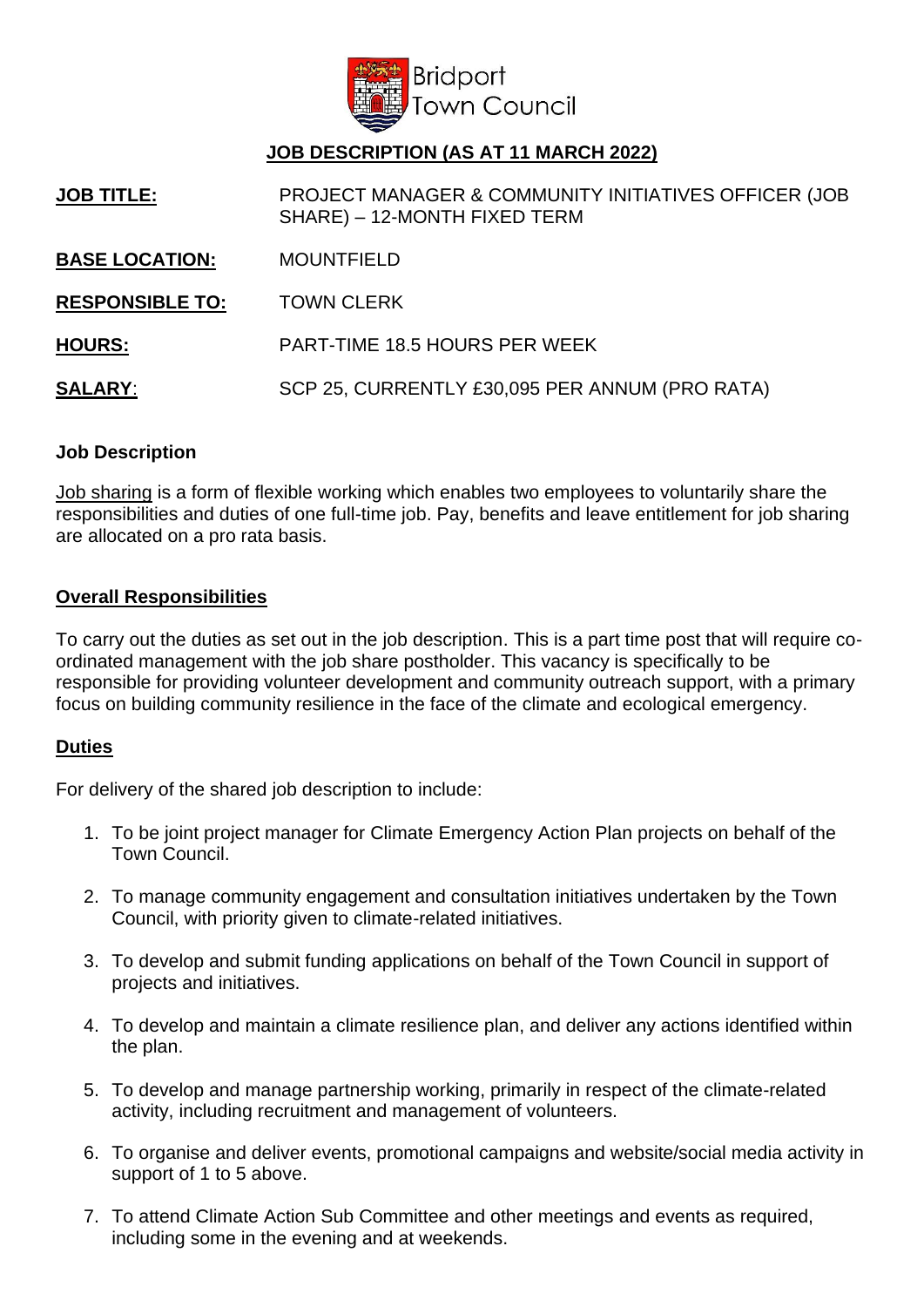

# **JOB DESCRIPTION (AS AT 11 MARCH 2022)**

**JOB TITLE:** PROJECT MANAGER & COMMUNITY INITIATIVES OFFICER (JOB SHARE) – 12-MONTH FIXED TERM

- **BASE LOCATION:** MOUNTFIELD
- **RESPONSIBLE TO:** TOWN CLERK

**HOURS:** PART-TIME 18.5 HOURS PER WEEK

**SALARY**: SCP 25, CURRENTLY £30,095 PER ANNUM (PRO RATA)

## **Job Description**

Job sharing is a form of flexible working which enables two employees to voluntarily share the responsibilities and duties of one full-time job. Pay, benefits and leave entitlement for job sharing are allocated on a pro rata basis.

#### **Overall Responsibilities**

To carry out the duties as set out in the job description. This is a part time post that will require coordinated management with the job share postholder. This vacancy is specifically to be responsible for providing volunteer development and community outreach support, with a primary focus on building community resilience in the face of the climate and ecological emergency.

## **Duties**

For delivery of the shared job description to include:

- 1. To be joint project manager for Climate Emergency Action Plan projects on behalf of the Town Council.
- 2. To manage community engagement and consultation initiatives undertaken by the Town Council, with priority given to climate-related initiatives.
- 3. To develop and submit funding applications on behalf of the Town Council in support of projects and initiatives.
- 4. To develop and maintain a climate resilience plan, and deliver any actions identified within the plan.
- 5. To develop and manage partnership working, primarily in respect of the climate-related activity, including recruitment and management of volunteers.
- 6. To organise and deliver events, promotional campaigns and website/social media activity in support of 1 to 5 above.
- 7. To attend Climate Action Sub Committee and other meetings and events as required, including some in the evening and at weekends.